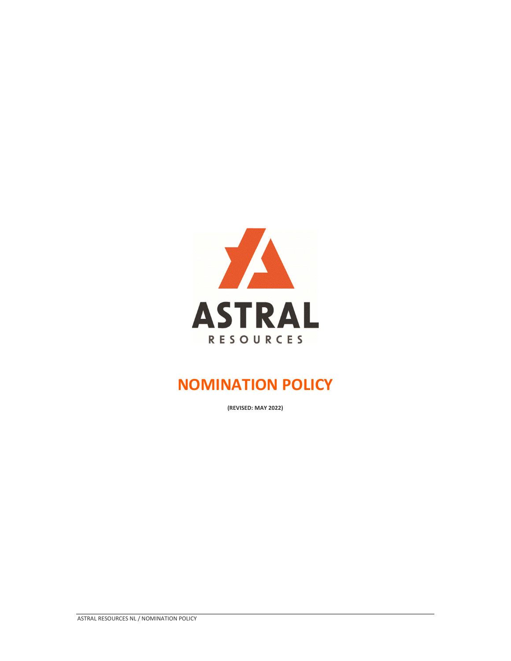

# **NOMINATION POLICY**

**(REVISED: MAY 2022)**

ASTRAL RESOURCES NL / NOMINATION POLICY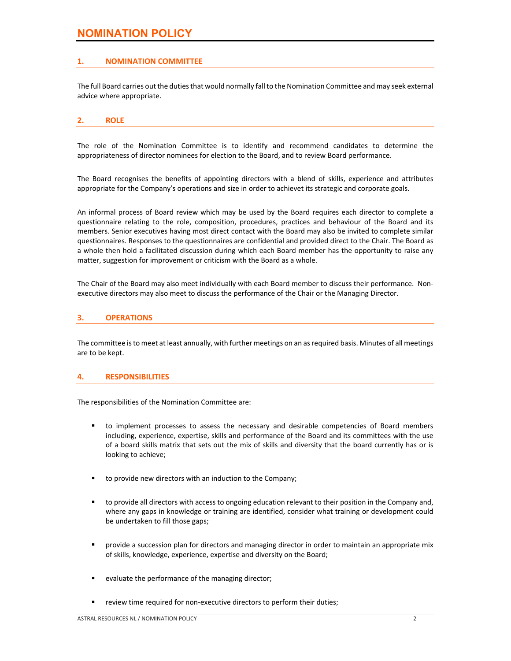# **NOMINATION POLICY**

# **1. NOMINATION COMMITTEE**

The full Board carries out the duties that would normally fall to the Nomination Committee and may seek external advice where appropriate.

#### **2. ROLE**

The role of the Nomination Committee is to identify and recommend candidates to determine the appropriateness of director nominees for election to the Board, and to review Board performance.

The Board recognises the benefits of appointing directors with a blend of skills, experience and attributes appropriate for the Company's operations and size in order to achievet its strategic and corporate goals.

An informal process of Board review which may be used by the Board requires each director to complete a questionnaire relating to the role, composition, procedures, practices and behaviour of the Board and its members. Senior executives having most direct contact with the Board may also be invited to complete similar questionnaires. Responses to the questionnaires are confidential and provided direct to the Chair. The Board as a whole then hold a facilitated discussion during which each Board member has the opportunity to raise any matter, suggestion for improvement or criticism with the Board as a whole.

The Chair of the Board may also meet individually with each Board member to discuss their performance. Non‐ executive directors may also meet to discuss the performance of the Chair or the Managing Director.

# **3. OPERATIONS**

The committee isto meet at least annually, with further meetings on an asrequired basis. Minutes of all meetings are to be kept.

# **4. RESPONSIBILITIES**

The responsibilities of the Nomination Committee are:

- to implement processes to assess the necessary and desirable competencies of Board members including, experience, expertise, skills and performance of the Board and its committees with the use of a board skills matrix that sets out the mix of skills and diversity that the board currently has or is looking to achieve;
- to provide new directors with an induction to the Company;
- to provide all directors with access to ongoing education relevant to their position in the Company and, where any gaps in knowledge or training are identified, consider what training or development could be undertaken to fill those gaps;
- provide a succession plan for directors and managing director in order to maintain an appropriate mix of skills, knowledge, experience, expertise and diversity on the Board;
- evaluate the performance of the managing director;
- review time required for non-executive directors to perform their duties;